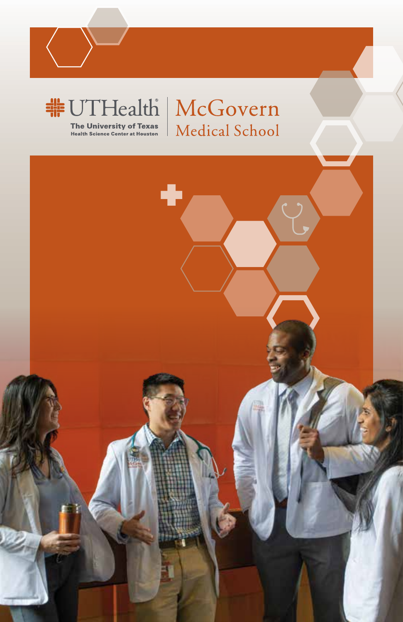

**The University of Texas**<br>Health Science Center at Houston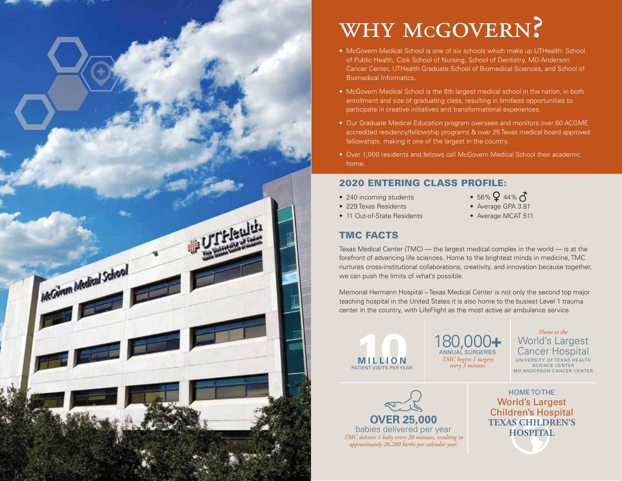

# why mcgovern? WHY MCGOVERN?<br>• McGovern Medical School is one of six schools which make up UTHealth: School

- McGovern Medical School is one of six schools which make up UTHealth: of Public Health, Cizik School of Nursing, School of Dentistry, MD Anderson School of Automotive Health, Cizik School of Nursing, School of Dentistry, MD Antacheori Cancer Center, UTHealth Graduate School of Biomedical Sciences, and School of Theory<br>Biomedical Information Biomedical Informatics.
- McGovern Medical School is the 7th largest medical school in the nation, enrollment and size of graduating class, resulting in limitless opportunities to in both enrollment and size of graduating class, resulting in limitless participate in creative initiatives and transformational experiences. • McGovern Medical School is the 8th largest medical school in the nation, in both
- Our Graduate Medical Education program oversees and monitors over 60 ACGME  $\epsilon$  our Graduate Medical Education program over  $\epsilon$  and  $\epsilon$  and  $\epsilon$  followships monitors it can of the letrest in the security. fellowships, making it one of the largest in the country.<br> $\blacksquare$ accredited residency/fellowship programs & over 25 Texas medical board approved
- Over 1,000 residents and fellows call McGovern Medical School their academic home.

## 2020 ENTERING CLASS PROFILE:

- 2019 entering class profile: 240 incoming students
- 229 Texas Residents
- 11 Out-of-State Residents
- 56%  $944%$
- Average GPA 3.81
- Average MCAT 511

# TMC FACTS

forefront of advancing life sciences. Home to the brightest minds in medicine, TMC<br>purtures areas institutional sellaborations, areativity, and innovation because teacher we can push the limits of what's possible. The world at the world at the world at the world at the world at the world  $\sim$ Texas Medical Center (TMC) — the largest medical complex in the world — is at the nurtures cross-institutional collaborations, creativity, and innovation because together,

Memorial Hermann Hospital – Texas Medical Center is not only the second top major teaching hospital in the United States it is also home to the busiest Level 1 trauma center in the country, with LifeFlight as the most active air ambulance service.



180,000+ *TMC begins 1 surgery* 180,000**+** ANNUAL SURGERIES *every 3 minutes*

trauma center in the country, with  $L$  in the most and most air ambulance service. However, with  $\mu$ **Cancer Hospital** UNIVERSITY OF TEXAS HEALTH SUIENCE CENTER<br>MD ANDERSON CANCER CENTER *Home to the* World's Largest SCIENCE CENTER



*TMC delivers 1 baby every 20 minutes, resulting in approximately 26,280 births per calendar year. approximately 26,280 births per calendar year. TMC delivers 1 baby every 20 minutes, resulting in* 

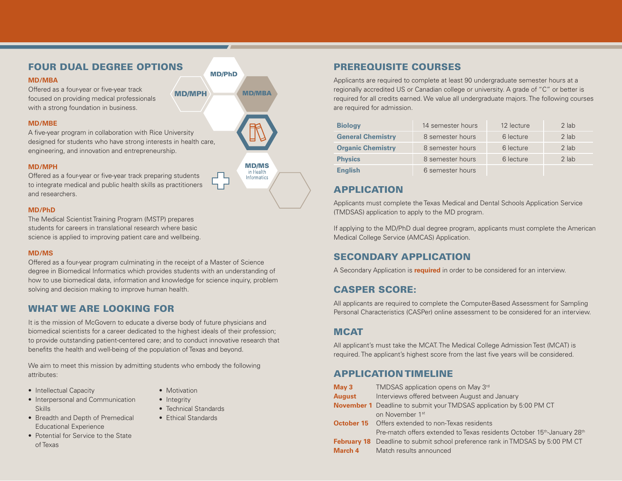## FOUR DUAL DEGREE OPTIONS

#### **MD/MBA**

Offered as a four-year or five-year track focused on providing medical professionals with a strong foundation in business.

#### **MD/MBE**

A five-year program in collaboration with Rice University designed for students who have strong interests in health care, engineering, and innovation and entrepreneurship.

#### **MD/MPH**

Offered as a four-year or five-year track preparing students to integrate medical and public health skills as practitioners and researchers.

#### **MD/PhD**

The Medical Scientist Training Program (MSTP) prepares students for careers in translational research where basic science is applied to improving patient care and wellbeing.

#### **MD/MS**

Offered as a four-year program culminating in the receipt of a Master of Science degree in Biomedical Informatics which provides students with an understanding of how to use biomedical data, information and knowledge for science inquiry, problem solving and decision making to improve human health.

### WHAT WE ARE LOOKING FOR

It is the mission of McGovern to educate a diverse body of future physicians and biomedical scientists for a career dedicated to the highest ideals of their profession; to provide outstanding patient-centered care; and to conduct innovative research that benefits the health and well-being of the population of Texas and beyond.

We aim to meet this mission by admitting students who embody the following attributes:

- Intellectual Capacity
- Interpersonal and Communication Skills
- Breadth and Depth of Premedical Educational Experience
- Potential for Service to the State of Texas



Applicants are required to complete at least 90 undergraduate semester hours at a regionally accredited US or Canadian college or university. A grade of "C" or better is required for all credits earned. We value all undergraduate majors. The following courses are required for admission.

| <b>Biology</b>           | 14 semester hours | 12 lecture | 2 lab   |
|--------------------------|-------------------|------------|---------|
| <b>General Chemistry</b> | 8 semester hours  | 6 lecture  | 2 lab   |
| <b>Organic Chemistry</b> | 8 semester hours  | 6 lecture  | 2 lab   |
| <b>Physics</b>           | 8 semester hours  | 6 lecture  | $2$ lab |
| <b>English</b>           | 6 semester hours  |            |         |

## APPLICATION

Applicants must complete the Texas Medical and Dental Schools Application Service (TMDSAS) application to apply to the MD program.

If applying to the MD/PhD dual degree program, applicants must complete the American Medical College Service (AMCAS) Application.

## SECONDARY APPLICATION

A Secondary Application is **required** in order to be considered for an interview.

### CASPER SCORE:

All applicants are required to complete the Computer-Based Assessment for Sampling Personal Characteristics (CASPer) online assessment to be considered for an interview.

## **MCAT**

All applicant's must take the MCAT. The Medical College Admission Test (MCAT) is required. The applicant's highest score from the last five years will be considered.

## APPLICATION TIMELINE

| May <sub>3</sub> | TMDSAS application opens on May 3rd                                                             |
|------------------|-------------------------------------------------------------------------------------------------|
| <b>August</b>    | Interviews offered between August and January                                                   |
|                  | <b>November 1</b> Deadline to submit your TMDSAS application by 5:00 PM CT                      |
|                  | on November 1 <sup>st</sup>                                                                     |
|                  | <b>October 15</b> Offers extended to non-Texas residents                                        |
|                  | Pre-match offers extended to Texas residents October 15 <sup>th</sup> -January 28 <sup>th</sup> |
|                  | <b>February 18</b> Deadline to submit school preference rank in TMDSAS by 5:00 PM CT            |
| March 4          | Match results announced                                                                         |

• Motivation

- Integrity
	- Technical Standards
- Ethical Standards



**Informatics** 

MD/MPH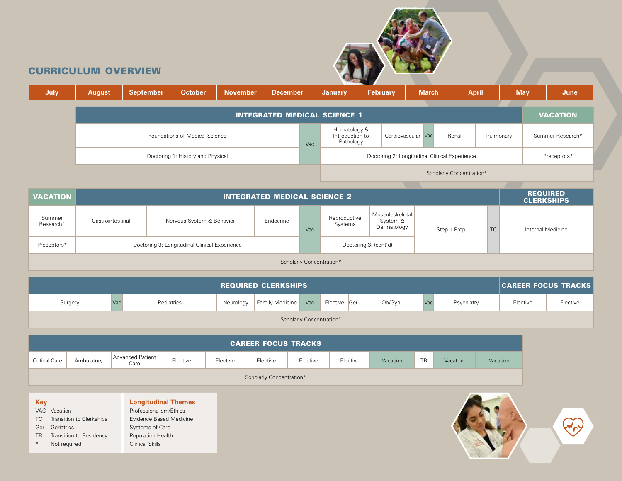

## curriculum overview

| July. | <b>August</b>                     | <b>September</b> | <b>October</b>                        | <b>November</b> | <b>December</b>                     |     | <b>January</b>                               | <b>February</b> |                                               | <b>March</b> | <b>April</b>             |           | <b>May</b> | June             |
|-------|-----------------------------------|------------------|---------------------------------------|-----------------|-------------------------------------|-----|----------------------------------------------|-----------------|-----------------------------------------------|--------------|--------------------------|-----------|------------|------------------|
|       |                                   |                  |                                       |                 | <b>INTEGRATED MEDICAL SCIENCE 1</b> |     |                                              |                 |                                               |              |                          |           |            | <b>VACATION</b>  |
|       |                                   |                  | <b>Foundations of Medical Science</b> |                 |                                     | Vac | Hematology &<br>Introduction to<br>Pathology |                 | Cardiovascular Vac                            |              | Renal                    | Pulmonary |            | Summer Research* |
|       | Doctoring 1: History and Physical |                  |                                       |                 |                                     |     |                                              |                 | Doctoring 2: Longitudinal Clinical Experience |              |                          |           |            | Preceptors*      |
|       |                                   |                  |                                       |                 |                                     |     |                                              |                 |                                               |              | Scholarly Concentration* |           |            |                  |

| <b>VACATION</b>          | <b>INTEGRATED MEDICAL SCIENCE 2</b> |                                               |           |                       |                         |                                            |             |    |                   |  |  |  |
|--------------------------|-------------------------------------|-----------------------------------------------|-----------|-----------------------|-------------------------|--------------------------------------------|-------------|----|-------------------|--|--|--|
| Summer<br>Research*      | Gastrointestinal                    | Nervous System & Behavior                     | Endocrine | Vac                   | Reproductive<br>Systems | Musculoskeletal<br>System &<br>Dermatology | Step 1 Prep | TC | Internal Medicine |  |  |  |
| Preceptors*              |                                     | Doctoring 3: Longitudinal Clinical Experience |           | Doctoring 3: (cont'd) |                         |                                            |             |    |                   |  |  |  |
| Scholarly Concentration* |                                     |                                               |           |                       |                         |                                            |             |    |                   |  |  |  |

| <b>REQUIRED CLERKSHIPS</b> |            |            |           |                        |     |              |        |    |            |          | <b>CAREER FOCUS TRACKS</b> |
|----------------------------|------------|------------|-----------|------------------------|-----|--------------|--------|----|------------|----------|----------------------------|
| Surgery                    | <b>Vac</b> | Pediatrics | Neurology | <b>Family Medicine</b> | Vac | Elective Ger | Ob/Gyn | Va | Psychiatry | Elective | Elective                   |
| Scholarly Concentration*   |            |            |           |                        |     |              |        |    |            |          |                            |

| <b>CAREER FOCUS TRACKS</b> |                                                                                                                                                     |  |  |  |  |  |  |  |  |  |  |
|----------------------------|-----------------------------------------------------------------------------------------------------------------------------------------------------|--|--|--|--|--|--|--|--|--|--|
| <b>Critical Care</b>       | Advanced Patient<br><b>TR</b><br>Elective<br>Elective<br>Elective<br>Ambulatory<br>Elective<br>Elective<br>Vacation<br>Vacation<br>Vacation<br>Care |  |  |  |  |  |  |  |  |  |  |
| Scholarly Concentration*   |                                                                                                                                                     |  |  |  |  |  |  |  |  |  |  |

VAC Vacation TC Transition to Clerkships Ger Geriatrics TR Transition to Residency \* Not required **Longitudinal Themes** Professionalism/Ethics Evidence Based Medicine Systems of Care Population Health Clinical Skills

**Key**

 $\left(\sqrt{2}\right)$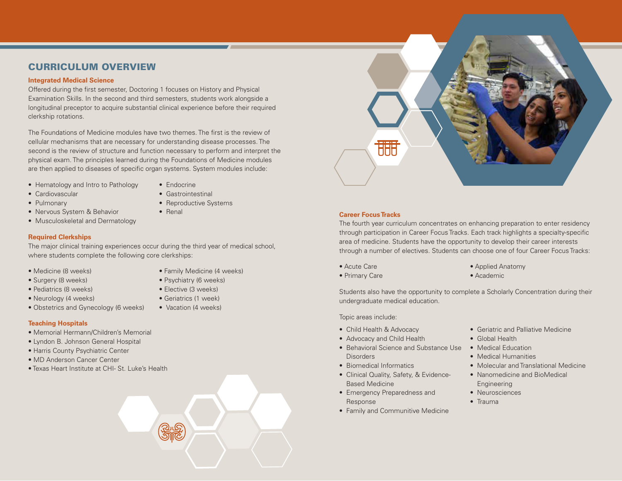## CURRICULUM OVERVIEW

#### **Integrated Medical Science**

Offered during the first semester, Doctoring 1 focuses on History and Physical Examination Skills. In the second and third semesters, students work alongside a longitudinal preceptor to acquire substantial clinical experience before their required clerkship rotations.

The Foundations of Medicine modules have two themes. The first is the review of cellular mechanisms that are necessary for understanding disease processes. The second is the review of structure and function necessary to perform and interpret the physical exam. The principles learned during the Foundations of Medicine modules are then applied to diseases of specific organ systems. System modules include:

- Hematology and Intro to Pathology
- Cardiovascular
- Pulmonary
- Endocrine
- Gastrointestinal
- Reproductive Systems
- Renal
- Musculoskeletal and Dermatology

• Nervous System & Behavior

#### **Required Clerkships**

The major clinical training experiences occur during the third year of medical school, where students complete the following core clerkships:

- Medicine (8 weeks)
- Surgery (8 weeks) • Pediatrics (8 weeks)
- Family Medicine (4 weeks)
- Psychiatry (6 weeks)
- Neurology (4 weeks)
- Obstetrics and Gynecology (6 weeks)
- Elective (3 weeks) • Geriatrics (1 week)
- Vacation (4 weeks)

#### **Teaching Hospitals**

- Memorial Hermann/Children's Memorial
- Lyndon B. Johnson General Hospital
- Harris County Psychiatric Center
- MD Anderson Cancer Center
- Texas Heart Institute at CHI- St. Luke's Health



#### **Career Focus Tracks**

The fourth year curriculum concentrates on enhancing preparation to enter residency through participation in Career Focus Tracks. Each track highlights a specialty-specific area of medicine. Students have the opportunity to develop their career interests through a number of electives. Students can choose one of four Career Focus Tracks:

- Acute Care
- Primary Care
- Applied Anatomy
- Academic

Students also have the opportunity to complete a Scholarly Concentration during their undergraduate medical education.

Topic areas include:

- Child Health & Advocacy
- Advocacy and Child Health
- Behavioral Science and Substance Use Medical Education **Disorders**
- Biomedical Informatics
- Clinical Quality, Safety, & Evidence-Based Medicine
- Emergency Preparedness and Response
- Family and Communitive Medicine
- Geriatric and Palliative Medicine
- Global Health
- 
- Medical Humanities
- Molecular and Translational Medicine
- Nanomedicine and BioMedical Engineering
- Neurosciences
- Trauma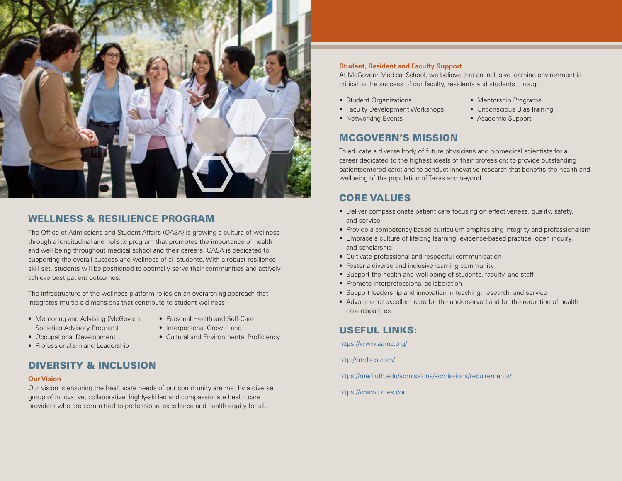

### WELLNESS & RESILIENCE PROGRAM

The Office of Admissions and Student Affairs (OASA) is growing a culture of wellness through a longitudinal and holistic program that promotes the importance of health and well being throughout medical school and their careers. OASA is dedicated to supporting the overall success and wellness of all students. With a robust resilience skill set, students will be positioned to optimally serve their communities and actively achieve best patient outcomes.

The infrastructure of the wellness platform relies on an overarching approach that integrates multiple dimensions that contribute to student wellness:

- Mentoring and Advising (McGovern Societies Advisory Program)
- Personal Health and Self-Care
- Interpersonal Growth and
	- Cultural and Environmental Proficiency
- Professionalism and Leadership

• Occupational Development

## DIVERSITY & INCLUSION

#### **Our Vision**

Our vision is ensuring the healthcare needs of our community are met by a diverse group of innovative, collaborative, highly-skilled and compassionate health care providers who are committed to professional excellence and health equity for all.

#### **Student, Resident and Faculty Support**

At McGovern Medical School, we believe that an inclusive learning environment is critical to the success of our faculty, residents and students through:

> • Mentorship Programs • Unconscious Bias Training • Academic Support

- Student Organizations
- Faculty Development Workshops
- Networking Events

#### MCGOVERN'S MISSION

To educate a diverse body of future physicians and biomedical scientists for a career dedicated to the highest ideals of their profession; to provide outstanding patientcentered care; and to conduct innovative research that benefits the health and wellbeing of the population of Texas and beyond.

## CORE VALUES

- Deliver compassionate patient care focusing on effectiveness, quality, safety, and service
- Provide a competency-based curriculum emphasizing integrity and professionalism
- Embrace a culture of lifelong learning, evidence-based practice, open inquiry, and scholarship
- Cultivate professional and respectful communication
- Foster a diverse and inclusive learning community
- Support the health and well-being of students, faculty, and staff
- Promote interprofessional collaboration
- Support leadership and innovation in teaching, research, and service
- Advocate for excellent care for the underserved and for the reduction of health care disparities

### USEFUL LINKS:

https://www.aamc.org/

http://tmdsas.com/

https://med.uth.edu/admissions/admissions/requirements/

https://www.txhes.com